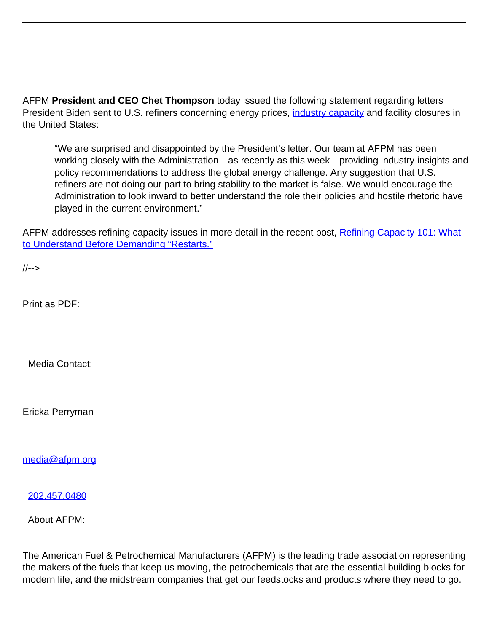AFPM **President and CEO Chet Thompson** today issued the following statement regarding letters President Biden sent to U.S. refiners concerning energy prices, [industry capacity](https://www.afpm.org/newsroom/blog/refining-capacity-101-what-understand-demanding-restarts) and facility closures in the United States:

"We are surprised and disappointed by the President's letter. Our team at AFPM has been working closely with the Administration—as recently as this week—providing industry insights and policy recommendations to address the global energy challenge. Any suggestion that U.S. refiners are not doing our part to bring stability to the market is false. We would encourage the Administration to look inward to better understand the role their policies and hostile rhetoric have played in the current environment."

AFPM addresses refining capacity issues in more detail in the recent post, [Refining Capacity 101: What](https://www.afpm.org/newsroom/blog/refining-capacity-101-what-understand-demanding-restarts) [to Understand Before Demanding "Restarts."](https://www.afpm.org/newsroom/blog/refining-capacity-101-what-understand-demanding-restarts)

//-->

Print as PDF:

Media Contact:

Ericka Perryman

[media@afpm.org](mailto:media@afpm.org)

[202.457.0480](tel:202.457.0480)

About AFPM:

The American Fuel & Petrochemical Manufacturers (AFPM) is the leading trade association representing the makers of the fuels that keep us moving, the petrochemicals that are the essential building blocks for modern life, and the midstream companies that get our feedstocks and products where they need to go.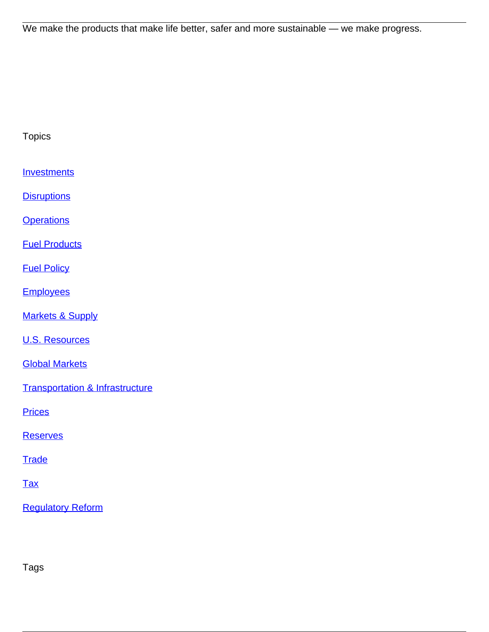We make the products that make life better, safer and more sustainable — we make progress.

| <b>Topics</b>                              |
|--------------------------------------------|
| <b>Investments</b>                         |
| <b>Disruptions</b>                         |
| <b>Operations</b>                          |
| <b>Fuel Products</b>                       |
| <b>Fuel Policy</b>                         |
| <b>Employees</b>                           |
| <b>Markets &amp; Supply</b>                |
| <b>U.S. Resources</b>                      |
| <b>Global Markets</b>                      |
| <b>Transportation &amp; Infrastructure</b> |
| <b>Prices</b>                              |
| <b>Reserves</b>                            |
| <b>Trade</b>                               |
| <b>Tax</b>                                 |

[Regulatory Reform](/topic/regulatory-reform)

Tags